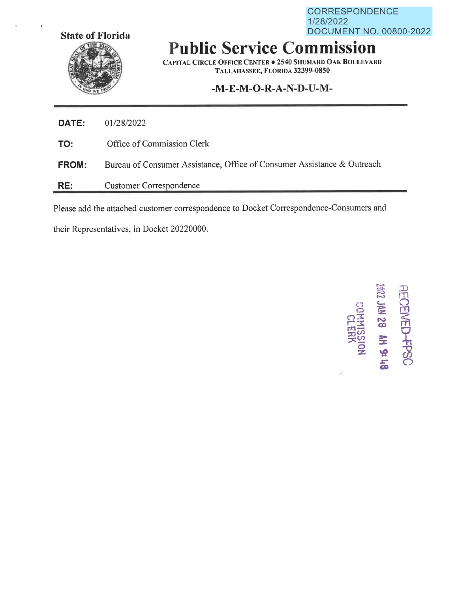CORRESPONDENCE 1/28/2022 **State of Florida DOCUMENT NO. 00800-2022** 



**Public Service Commission** 

**CAPITAL CIRCLE OFFICE CENTER• 2540 SHUMARD OAK BOULEVARD TALLAHASSEE, FLORIDA 32399-0850** 

## **-M-E-M-O-R-A-N-D-U-M-**

| DATE:        | 01/28/2022                                                              |
|--------------|-------------------------------------------------------------------------|
| TO:          | Office of Commission Clerk                                              |
| <b>FROM:</b> | Bureau of Consumer Assistance, Office of Consumer Assistance & Outreach |
| RE:          | Customer Correspondence                                                 |

Please add the attached customer correspondence to Docket Correspondence-Consumers and

their Representatives, in Docket 20220000.



*i*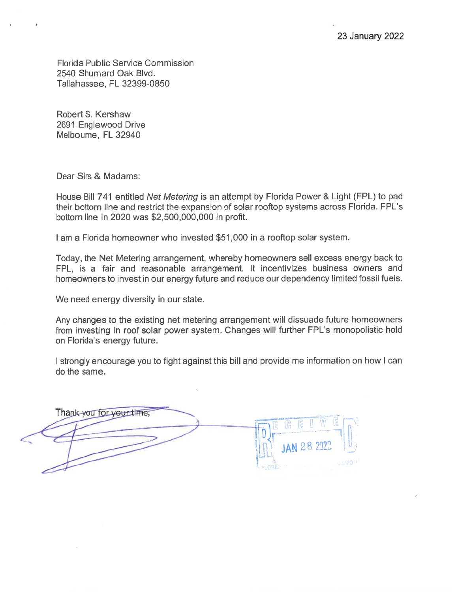Florida Public Service Commission 2540 Shumard Oak Blvd. Tallahassee, FL 32399-0850

Robert S. Kershaw 2691 Englewood Drive Melbourne, FL 32940

Dear Sirs & Madams:

House Bill 7 41 entitled Net Metering is an attempt by Florida Power & Light (FPL) to pad their bottom line and restrict the expansion of solar rooftop systems across Florida. FPL's bottom line in 2020 was \$2,500,000,000 in profit.

I am a Florida homeowner who invested \$51,000 in a rooftop solar system.

Today, the Net Metering arrangement, whereby homeowners sell excess energy back to FPL, is a fair and reasonable arrangement. It incentivizes business owners and homeowners to invest in our energy future and reduce our dependency limited fossil fuels.

We need energy diversity in our state.

Any changes to the existing net metering arrangement will dissuade future homeowners from investing in roof solar power system. Changes will further FPL's monopolistic hold on Florida's energy future.

I strongly encourage you to fight against this bill and provide me information on how I can do the same.

Thank you for your time.